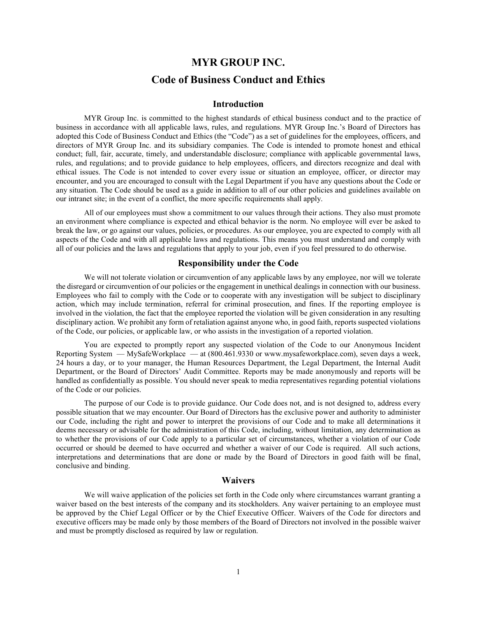# **MYR GROUP INC. Code of Business Conduct and Ethics**

#### **Introduction**

MYR Group Inc. is committed to the highest standards of ethical business conduct and to the practice of business in accordance with all applicable laws, rules, and regulations. MYR Group Inc.'s Board of Directors has adopted this Code of Business Conduct and Ethics (the "Code") as a set of guidelines for the employees, officers, and directors of MYR Group Inc. and its subsidiary companies. The Code is intended to promote honest and ethical conduct; full, fair, accurate, timely, and understandable disclosure; compliance with applicable governmental laws, rules, and regulations; and to provide guidance to help employees, officers, and directors recognize and deal with ethical issues. The Code is not intended to cover every issue or situation an employee, officer, or director may encounter, and you are encouraged to consult with the Legal Department if you have any questions about the Code or any situation. The Code should be used as a guide in addition to all of our other policies and guidelines available on our intranet site; in the event of a conflict, the more specific requirements shall apply.

All of our employees must show a commitment to our values through their actions. They also must promote an environment where compliance is expected and ethical behavior is the norm. No employee will ever be asked to break the law, or go against our values, policies, or procedures. As our employee, you are expected to comply with all aspects of the Code and with all applicable laws and regulations. This means you must understand and comply with all of our policies and the laws and regulations that apply to your job, even if you feel pressured to do otherwise.

#### **Responsibility under the Code**

We will not tolerate violation or circumvention of any applicable laws by any employee, nor will we tolerate the disregard or circumvention of our policies or the engagement in unethical dealings in connection with our business. Employees who fail to comply with the Code or to cooperate with any investigation will be subject to disciplinary action, which may include termination, referral for criminal prosecution, and fines. If the reporting employee is involved in the violation, the fact that the employee reported the violation will be given consideration in any resulting disciplinary action. We prohibit any form of retaliation against anyone who, in good faith, reports suspected violations of the Code, our policies, or applicable law, or who assists in the investigation of a reported violation.

You are expected to promptly report any suspected violation of the Code to our Anonymous Incident Reporting System — MySafeWorkplace — at (800.461.9330 or www.mysafeworkplace.com), seven days a week, 24 hours a day, or to your manager, the Human Resources Department, the Legal Department, the Internal Audit Department, or the Board of Directors' Audit Committee. Reports may be made anonymously and reports will be handled as confidentially as possible. You should never speak to media representatives regarding potential violations of the Code or our policies.

The purpose of our Code is to provide guidance. Our Code does not, and is not designed to, address every possible situation that we may encounter. Our Board of Directors has the exclusive power and authority to administer our Code, including the right and power to interpret the provisions of our Code and to make all determinations it deems necessary or advisable for the administration of this Code, including, without limitation, any determination as to whether the provisions of our Code apply to a particular set of circumstances, whether a violation of our Code occurred or should be deemed to have occurred and whether a waiver of our Code is required. All such actions, interpretations and determinations that are done or made by the Board of Directors in good faith will be final, conclusive and binding.

## **Waivers**

We will waive application of the policies set forth in the Code only where circumstances warrant granting a waiver based on the best interests of the company and its stockholders. Any waiver pertaining to an employee must be approved by the Chief Legal Officer or by the Chief Executive Officer. Waivers of the Code for directors and executive officers may be made only by those members of the Board of Directors not involved in the possible waiver and must be promptly disclosed as required by law or regulation.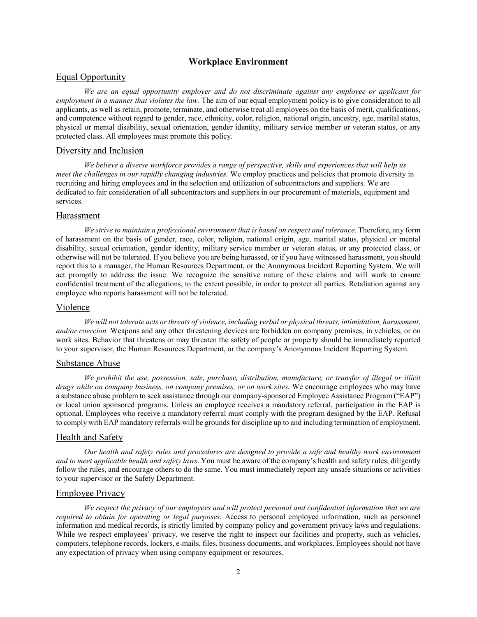# **Workplace Environment**

# Equal Opportunity

*We are an equal opportunity employer and do not discriminate against any employee or applicant for employment in a manner that violates the law.* The aim of our equal employment policy is to give consideration to all applicants, as well as retain, promote, terminate, and otherwise treat all employees on the basis of merit, qualifications, and competence without regard to gender, race, ethnicity, color, religion, national origin, ancestry, age, marital status, physical or mental disability, sexual orientation, gender identity, military service member or veteran status, or any protected class. All employees must promote this policy.

# Diversity and Inclusion

*We believe a diverse workforce provides a range of perspective, skills and experiences that will help us meet the challenges in our rapidly changing industries.* We employ practices and policies that promote diversity in recruiting and hiring employees and in the selection and utilization of subcontractors and suppliers. We are dedicated to fair consideration of all subcontractors and suppliers in our procurement of materials, equipment and services.

#### Harassment

*We strive to maintain a professional environment that is based on respect and tolerance*. Therefore, any form of harassment on the basis of gender, race, color, religion, national origin, age, marital status, physical or mental disability, sexual orientation, gender identity, military service member or veteran status, or any protected class, or otherwise will not be tolerated. If you believe you are being harassed, or if you have witnessed harassment, you should report this to a manager, the Human Resources Department, or the Anonymous Incident Reporting System. We will act promptly to address the issue. We recognize the sensitive nature of these claims and will work to ensure confidential treatment of the allegations, to the extent possible, in order to protect all parties. Retaliation against any employee who reports harassment will not be tolerated.

#### Violence

*We will not tolerate acts or threats of violence, including verbal or physical threats, intimidation, harassment, and/or coercion.* Weapons and any other threatening devices are forbidden on company premises, in vehicles, or on work sites. Behavior that threatens or may threaten the safety of people or property should be immediately reported to your supervisor, the Human Resources Department, or the company's Anonymous Incident Reporting System.

# Substance Abuse

*We prohibit the use, possession, sale, purchase, distribution, manufacture, or transfer of illegal or illicit drugs while on company business, on company premises, or on work sites.* We encourage employees who may have a substance abuse problem to seek assistance through our company-sponsored Employee Assistance Program ("EAP") or local union sponsored programs. Unless an employee receives a mandatory referral, participation in the EAP is optional. Employees who receive a mandatory referral must comply with the program designed by the EAP. Refusal to comply with EAP mandatory referrals will be grounds for discipline up to and including termination of employment.

# Health and Safety

*Our health and safety rules and procedures are designed to provide a safe and healthy work environment and to meet applicable health and safety laws*. You must be aware of the company's health and safety rules, diligently follow the rules, and encourage others to do the same. You must immediately report any unsafe situations or activities to your supervisor or the Safety Department.

#### Employee Privacy

*We respect the privacy of our employees and will protect personal and confidential information that we are required to obtain for operating or legal purposes.* Access to personal employee information, such as personnel information and medical records, is strictly limited by company policy and government privacy laws and regulations. While we respect employees' privacy, we reserve the right to inspect our facilities and property, such as vehicles, computers, telephone records, lockers, e-mails, files, business documents, and workplaces. Employees should not have any expectation of privacy when using company equipment or resources.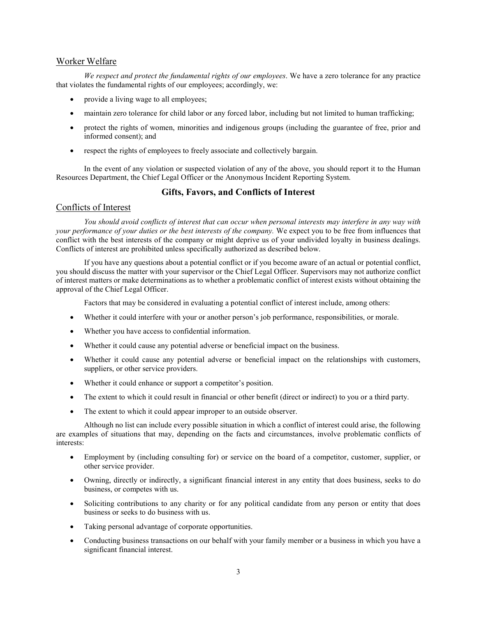# Worker Welfare

*We respect and protect the fundamental rights of our employees*. We have a zero tolerance for any practice that violates the fundamental rights of our employees; accordingly, we:

- provide a living wage to all employees;
- maintain zero tolerance for child labor or any forced labor, including but not limited to human trafficking;
- protect the rights of women, minorities and indigenous groups (including the guarantee of free, prior and informed consent); and
- respect the rights of employees to freely associate and collectively bargain.

In the event of any violation or suspected violation of any of the above, you should report it to the Human Resources Department, the Chief Legal Officer or the Anonymous Incident Reporting System.

# **Gifts, Favors, and Conflicts of Interest**

# Conflicts of Interest

*You should avoid conflicts of interest that can occur when personal interests may interfere in any way with your performance of your duties or the best interests of the company.* We expect you to be free from influences that conflict with the best interests of the company or might deprive us of your undivided loyalty in business dealings. Conflicts of interest are prohibited unless specifically authorized as described below.

If you have any questions about a potential conflict or if you become aware of an actual or potential conflict, you should discuss the matter with your supervisor or the Chief Legal Officer. Supervisors may not authorize conflict of interest matters or make determinations as to whether a problematic conflict of interest exists without obtaining the approval of the Chief Legal Officer.

Factors that may be considered in evaluating a potential conflict of interest include, among others:

- Whether it could interfere with your or another person's job performance, responsibilities, or morale.
- Whether you have access to confidential information.
- Whether it could cause any potential adverse or beneficial impact on the business.
- Whether it could cause any potential adverse or beneficial impact on the relationships with customers, suppliers, or other service providers.
- Whether it could enhance or support a competitor's position.
- The extent to which it could result in financial or other benefit (direct or indirect) to you or a third party.
- The extent to which it could appear improper to an outside observer.

Although no list can include every possible situation in which a conflict of interest could arise, the following are examples of situations that may, depending on the facts and circumstances, involve problematic conflicts of interests:

- Employment by (including consulting for) or service on the board of a competitor, customer, supplier, or other service provider.
- Owning, directly or indirectly, a significant financial interest in any entity that does business, seeks to do business, or competes with us.
- Soliciting contributions to any charity or for any political candidate from any person or entity that does business or seeks to do business with us.
- Taking personal advantage of corporate opportunities.
- Conducting business transactions on our behalf with your family member or a business in which you have a significant financial interest.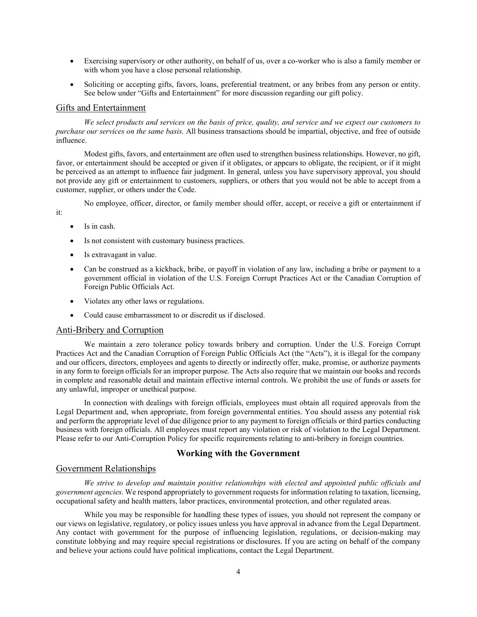- Exercising supervisory or other authority, on behalf of us, over a co-worker who is also a family member or with whom you have a close personal relationship.
- Soliciting or accepting gifts, favors, loans, preferential treatment, or any bribes from any person or entity. See below under "Gifts and Entertainment" for more discussion regarding our gift policy.

#### Gifts and Entertainment

*We select products and services on the basis of price, quality, and service and we expect our customers to purchase our services on the same basis.* All business transactions should be impartial, objective, and free of outside influence.

Modest gifts, favors, and entertainment are often used to strengthen business relationships. However, no gift, favor, or entertainment should be accepted or given if it obligates, or appears to obligate, the recipient, or if it might be perceived as an attempt to influence fair judgment. In general, unless you have supervisory approval, you should not provide any gift or entertainment to customers, suppliers, or others that you would not be able to accept from a customer, supplier, or others under the Code.

No employee, officer, director, or family member should offer, accept, or receive a gift or entertainment if

it:

- Is in cash.
- Is not consistent with customary business practices.
- Is extravagant in value.
- Can be construed as a kickback, bribe, or payoff in violation of any law, including a bribe or payment to a government official in violation of the U.S. Foreign Corrupt Practices Act or the Canadian Corruption of Foreign Public Officials Act.
- Violates any other laws or regulations.
- Could cause embarrassment to or discredit us if disclosed.

# Anti-Bribery and Corruption

We maintain a zero tolerance policy towards bribery and corruption. Under the U.S. Foreign Corrupt Practices Act and the Canadian Corruption of Foreign Public Officials Act (the "Acts"), it is illegal for the company and our officers, directors, employees and agents to directly or indirectly offer, make, promise, or authorize payments in any form to foreign officials for an improper purpose. The Acts also require that we maintain our books and records in complete and reasonable detail and maintain effective internal controls. We prohibit the use of funds or assets for any unlawful, improper or unethical purpose.

In connection with dealings with foreign officials, employees must obtain all required approvals from the Legal Department and, when appropriate, from foreign governmental entities. You should assess any potential risk and perform the appropriate level of due diligence prior to any payment to foreign officials or third parties conducting business with foreign officials. All employees must report any violation or risk of violation to the Legal Department. Please refer to our Anti-Corruption Policy for specific requirements relating to anti-bribery in foreign countries.

# **Working with the Government**

# Government Relationships

*We strive to develop and maintain positive relationships with elected and appointed public officials and government agencies*. We respond appropriately to government requests for information relating to taxation, licensing, occupational safety and health matters, labor practices, environmental protection, and other regulated areas.

While you may be responsible for handling these types of issues, you should not represent the company or our views on legislative, regulatory, or policy issues unless you have approval in advance from the Legal Department. Any contact with government for the purpose of influencing legislation, regulations, or decision-making may constitute lobbying and may require special registrations or disclosures. If you are acting on behalf of the company and believe your actions could have political implications, contact the Legal Department.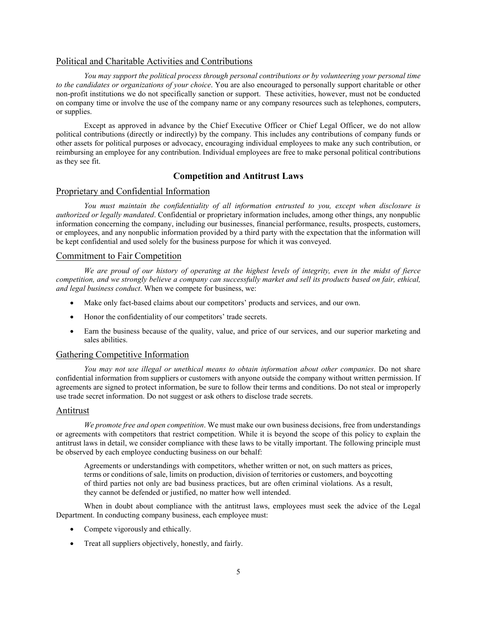# Political and Charitable Activities and Contributions

*You may support the political process through personal contributions or by volunteering your personal time to the candidates or organizations of your choice*. You are also encouraged to personally support charitable or other non-profit institutions we do not specifically sanction or support. These activities, however, must not be conducted on company time or involve the use of the company name or any company resources such as telephones, computers, or supplies.

Except as approved in advance by the Chief Executive Officer or Chief Legal Officer, we do not allow political contributions (directly or indirectly) by the company. This includes any contributions of company funds or other assets for political purposes or advocacy, encouraging individual employees to make any such contribution, or reimbursing an employee for any contribution. Individual employees are free to make personal political contributions as they see fit.

# **Competition and Antitrust Laws**

# Proprietary and Confidential Information

*You must maintain the confidentiality of all information entrusted to you, except when disclosure is authorized or legally mandated*. Confidential or proprietary information includes, among other things, any nonpublic information concerning the company, including our businesses, financial performance, results, prospects, customers, or employees, and any nonpublic information provided by a third party with the expectation that the information will be kept confidential and used solely for the business purpose for which it was conveyed.

# Commitment to Fair Competition

*We are proud of our history of operating at the highest levels of integrity, even in the midst of fierce competition, and we strongly believe a company can successfully market and sell its products based on fair, ethical, and legal business conduct*. When we compete for business, we:

- Make only fact-based claims about our competitors' products and services, and our own.
- Honor the confidentiality of our competitors' trade secrets.
- Earn the business because of the quality, value, and price of our services, and our superior marketing and sales abilities.

## Gathering Competitive Information

*You may not use illegal or unethical means to obtain information about other companies*. Do not share confidential information from suppliers or customers with anyone outside the company without written permission. If agreements are signed to protect information, be sure to follow their terms and conditions. Do not steal or improperly use trade secret information. Do not suggest or ask others to disclose trade secrets.

# **Antitrust**

*We promote free and open competition*. We must make our own business decisions, free from understandings or agreements with competitors that restrict competition. While it is beyond the scope of this policy to explain the antitrust laws in detail, we consider compliance with these laws to be vitally important. The following principle must be observed by each employee conducting business on our behalf:

Agreements or understandings with competitors, whether written or not, on such matters as prices, terms or conditions of sale, limits on production, division of territories or customers, and boycotting of third parties not only are bad business practices, but are often criminal violations. As a result, they cannot be defended or justified, no matter how well intended.

When in doubt about compliance with the antitrust laws, employees must seek the advice of the Legal Department. In conducting company business, each employee must:

- Compete vigorously and ethically.
- Treat all suppliers objectively, honestly, and fairly.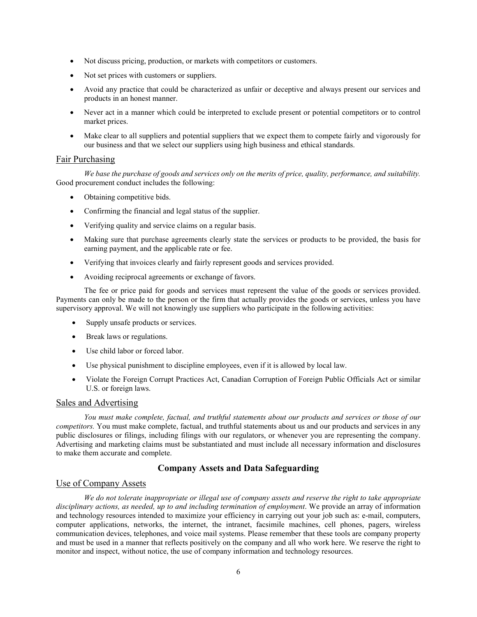- Not discuss pricing, production, or markets with competitors or customers.
- Not set prices with customers or suppliers.
- Avoid any practice that could be characterized as unfair or deceptive and always present our services and products in an honest manner.
- Never act in a manner which could be interpreted to exclude present or potential competitors or to control market prices.
- Make clear to all suppliers and potential suppliers that we expect them to compete fairly and vigorously for our business and that we select our suppliers using high business and ethical standards.

#### Fair Purchasing

*We base the purchase of goods and services only on the merits of price, quality, performance, and suitability.* Good procurement conduct includes the following:

- Obtaining competitive bids.
- Confirming the financial and legal status of the supplier.
- Verifying quality and service claims on a regular basis.
- Making sure that purchase agreements clearly state the services or products to be provided, the basis for earning payment, and the applicable rate or fee.
- Verifying that invoices clearly and fairly represent goods and services provided.
- Avoiding reciprocal agreements or exchange of favors.

The fee or price paid for goods and services must represent the value of the goods or services provided. Payments can only be made to the person or the firm that actually provides the goods or services, unless you have supervisory approval. We will not knowingly use suppliers who participate in the following activities:

- Supply unsafe products or services.
- Break laws or regulations.
- Use child labor or forced labor.
- Use physical punishment to discipline employees, even if it is allowed by local law.
- Violate the Foreign Corrupt Practices Act, Canadian Corruption of Foreign Public Officials Act or similar U.S. or foreign laws.

#### Sales and Advertising

*You must make complete, factual, and truthful statements about our products and services or those of our competitors.* You must make complete, factual, and truthful statements about us and our products and services in any public disclosures or filings, including filings with our regulators, or whenever you are representing the company. Advertising and marketing claims must be substantiated and must include all necessary information and disclosures to make them accurate and complete.

# **Company Assets and Data Safeguarding**

# Use of Company Assets

*We do not tolerate inappropriate or illegal use of company assets and reserve the right to take appropriate disciplinary actions, as needed, up to and including termination of employment*. We provide an array of information and technology resources intended to maximize your efficiency in carrying out your job such as: e-mail, computers, computer applications, networks, the internet, the intranet, facsimile machines, cell phones, pagers, wireless communication devices, telephones, and voice mail systems. Please remember that these tools are company property and must be used in a manner that reflects positively on the company and all who work here. We reserve the right to monitor and inspect, without notice, the use of company information and technology resources.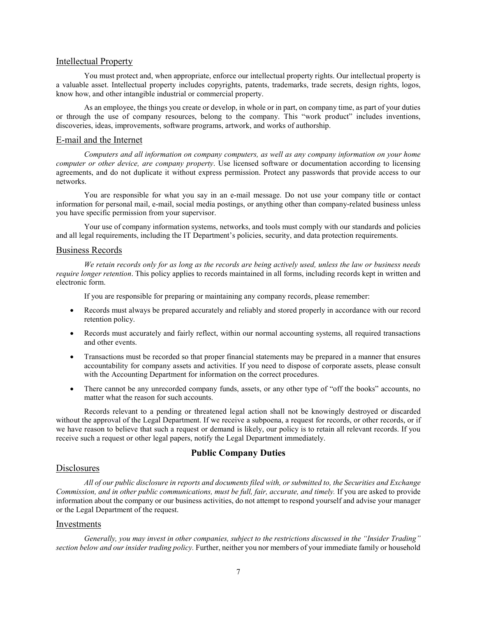# Intellectual Property

You must protect and, when appropriate, enforce our intellectual property rights. Our intellectual property is a valuable asset. Intellectual property includes copyrights, patents, trademarks, trade secrets, design rights, logos, know how, and other intangible industrial or commercial property.

As an employee, the things you create or develop, in whole or in part, on company time, as part of your duties or through the use of company resources, belong to the company. This "work product" includes inventions, discoveries, ideas, improvements, software programs, artwork, and works of authorship.

#### E-mail and the Internet

*Computers and all information on company computers, as well as any company information on your home computer or other device, are company property*. Use licensed software or documentation according to licensing agreements, and do not duplicate it without express permission. Protect any passwords that provide access to our networks.

You are responsible for what you say in an e-mail message. Do not use your company title or contact information for personal mail, e-mail, social media postings, or anything other than company-related business unless you have specific permission from your supervisor.

Your use of company information systems, networks, and tools must comply with our standards and policies and all legal requirements, including the IT Department's policies, security, and data protection requirements.

#### Business Records

*We retain records only for as long as the records are being actively used, unless the law or business needs require longer retention*. This policy applies to records maintained in all forms, including records kept in written and electronic form.

If you are responsible for preparing or maintaining any company records, please remember:

- Records must always be prepared accurately and reliably and stored properly in accordance with our record retention policy.
- Records must accurately and fairly reflect, within our normal accounting systems, all required transactions and other events.
- Transactions must be recorded so that proper financial statements may be prepared in a manner that ensures accountability for company assets and activities. If you need to dispose of corporate assets, please consult with the Accounting Department for information on the correct procedures.
- There cannot be any unrecorded company funds, assets, or any other type of "off the books" accounts, no matter what the reason for such accounts.

Records relevant to a pending or threatened legal action shall not be knowingly destroyed or discarded without the approval of the Legal Department. If we receive a subpoena, a request for records, or other records, or if we have reason to believe that such a request or demand is likely, our policy is to retain all relevant records. If you receive such a request or other legal papers, notify the Legal Department immediately.

# **Public Company Duties**

# **Disclosures**

*All of our public disclosure in reports and documents filed with, or submitted to, the Securities and Exchange Commission, and in other public communications, must be full, fair, accurate, and timely.* If you are asked to provide information about the company or our business activities, do not attempt to respond yourself and advise your manager or the Legal Department of the request.

#### Investments

*Generally, you may invest in other companies, subject to the restrictions discussed in the "Insider Trading" section below and our insider trading policy.* Further, neither you nor members of your immediate family or household